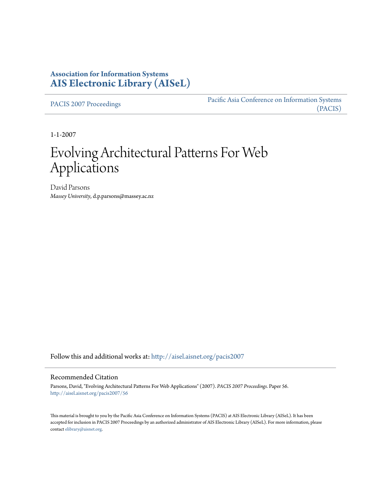## **Association for Information Systems [AIS Electronic Library \(AISeL\)](http://aisel.aisnet.org?utm_source=aisel.aisnet.org%2Fpacis2007%2F56&utm_medium=PDF&utm_campaign=PDFCoverPages)**

[PACIS 2007 Proceedings](http://aisel.aisnet.org/pacis2007?utm_source=aisel.aisnet.org%2Fpacis2007%2F56&utm_medium=PDF&utm_campaign=PDFCoverPages)

[Pacific Asia Conference on Information Systems](http://aisel.aisnet.org/pacis?utm_source=aisel.aisnet.org%2Fpacis2007%2F56&utm_medium=PDF&utm_campaign=PDFCoverPages) [\(PACIS\)](http://aisel.aisnet.org/pacis?utm_source=aisel.aisnet.org%2Fpacis2007%2F56&utm_medium=PDF&utm_campaign=PDFCoverPages)

1-1-2007

# Evolving Architectural Patterns For Web Applications

David Parsons *Massey University*, d.p.parsons@massey.ac.nz

Follow this and additional works at: [http://aisel.aisnet.org/pacis2007](http://aisel.aisnet.org/pacis2007?utm_source=aisel.aisnet.org%2Fpacis2007%2F56&utm_medium=PDF&utm_campaign=PDFCoverPages)

#### Recommended Citation

Parsons, David, "Evolving Architectural Patterns For Web Applications" (2007). *PACIS 2007 Proceedings.* Paper 56. [http://aisel.aisnet.org/pacis2007/56](http://aisel.aisnet.org/pacis2007/56?utm_source=aisel.aisnet.org%2Fpacis2007%2F56&utm_medium=PDF&utm_campaign=PDFCoverPages)

This material is brought to you by the Pacific Asia Conference on Information Systems (PACIS) at AIS Electronic Library (AISeL). It has been accepted for inclusion in PACIS 2007 Proceedings by an authorized administrator of AIS Electronic Library (AISeL). For more information, please contact [elibrary@aisnet.org.](mailto:elibrary@aisnet.org>)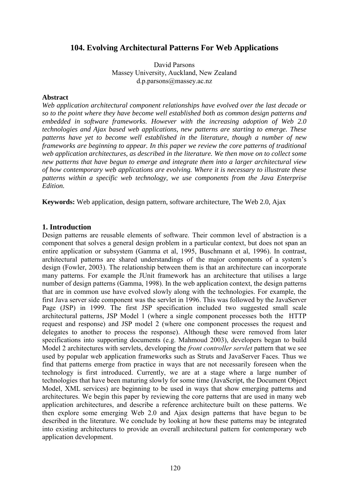## **104. Evolving Architectural Patterns For Web Applications**

David Parsons Massey University, Auckland, New Zealand d.p.parsons@massey.ac.nz

#### **Abstract**

*Web application architectural component relationships have evolved over the last decade or so to the point where they have become well established both as common design patterns and embedded in software frameworks. However with the increasing adoption of Web 2.0 technologies and Ajax based web applications, new patterns are starting to emerge. These patterns have yet to become well established in the literature, though a number of new frameworks are beginning to appear. In this paper we review the core patterns of traditional web application architectures, as described in the literature. We then move on to collect some new patterns that have begun to emerge and integrate them into a larger architectural view of how contemporary web applications are evolving. Where it is necessary to illustrate these patterns within a specific web technology, we use components from the Java Enterprise Edition.*

**Keywords:** Web application, design pattern, software architecture, The Web 2.0, Ajax

## **1. Introduction**

Design patterns are reusable elements of software. Their common level of abstraction is a component that solves a general design problem in a particular context, but does not span an entire application or subsystem (Gamma et al, 1995, Buschmann et al, 1996). In contrast, architectural patterns are shared understandings of the major components of a system"s design (Fowler, 2003). The relationship between them is that an architecture can incorporate many patterns. For example the JUnit framework has an architecture that utilises a large number of design patterns (Gamma, 1998). In the web application context, the design patterns that are in common use have evolved slowly along with the technologies. For example, the first Java server side component was the servlet in 1996. This was followed by the JavaServer Page (JSP) in 1999. The first JSP specification included two suggested small scale architectural patterns, JSP Model 1 (where a single component processes both the HTTP request and response) and JSP model 2 (where one component processes the request and delegates to another to process the response). Although these were removed from later specifications into supporting documents (e.g. Mahmoud 2003), developers began to build Model 2 architectures with servlets, developing the *front controller servlet* pattern that we see used by popular web application frameworks such as Struts and JavaServer Faces. Thus we find that patterns emerge from practice in ways that are not necessarily foreseen when the technology is first introduced. Currently, we are at a stage where a large number of technologies that have been maturing slowly for some time (JavaScript, the Document Object Model, XML services) are beginning to be used in ways that show emerging patterns and architectures. We begin this paper by reviewing the core patterns that are used in many web application architectures, and describe a reference architecture built on these patterns. We then explore some emerging Web 2.0 and Ajax design patterns that have begun to be described in the literature. We conclude by looking at how these patterns may be integrated into existing architectures to provide an overall architectural pattern for contemporary web application development.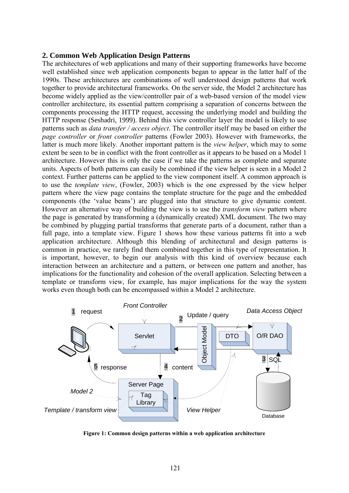#### **2. Common Web Application Design Patterns**

The architectures of web applications and many of their supporting frameworks have become well established since web application components began to appear in the latter half of the 1990s. These architectures are combinations of well understood design patterns that work together to provide architectural frameworks. On the server side, the Model 2 architecture has become widely applied as the view/controller pair of a web-based version of the model view controller architecture, its essential pattern comprising a separation of concerns between the components processing the HTTP request, accessing the underlying model and building the HTTP response (Seshadri, 1999). Behind this view controller layer the model is likely to use patterns such as *data transfer / access object*. The controller itself may be based on either the *page controller* or *front controller* patterns (Fowler 2003). However with frameworks, the latter is much more likely. Another important pattern is the *view helper*, which may to some extent be seen to be in conflict with the front controller as it appears to be based on a Model 1 architecture. However this is only the case if we take the patterns as complete and separate units. Aspects of both patterns can easily be combined if the view helper is seen in a Model 2 context. Further patterns can be applied to the view component itself. A common approach is to use the *template view*, (Fowler, 2003) which is the one expressed by the view helper pattern where the view page contains the template structure for the page and the embedded components (the "value beans") are plugged into that structure to give dynamic content. However an alternative way of building the view is to use the *transform view* pattern where the page is generated by transforming a (dynamically created) XML document. The two may be combined by plugging partial transforms that generate parts of a document, rather than a full page, into a template view. Figure 1 shows how these various patterns fit into a web application architecture. Although this blending of architectural and design patterns is common in practice, we rarely find them combined together in this type of representation. It is important, however, to begin our analysis with this kind of overview because each interaction between an architecture and a pattern, or between one pattern and another, has implications for the functionality and cohesion of the overall application. Selecting between a template or transform view, for example, has major implications for the way the system works even though both can be encompassed within a Model 2 architecture.



**Figure 1: Common design patterns within a web application architecture**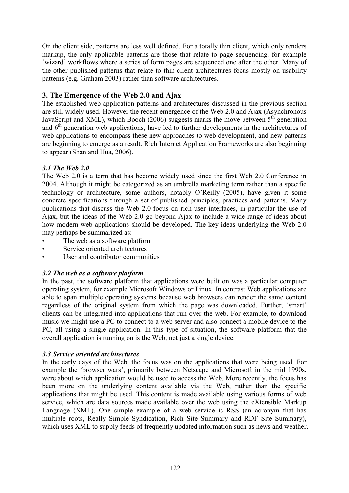On the client side, patterns are less well defined. For a totally thin client, which only renders markup, the only applicable patterns are those that relate to page sequencing, for example "wizard" workflows where a series of form pages are sequenced one after the other. Many of the other published patterns that relate to thin client architectures focus mostly on usability patterns (e.g. Graham 2003) rather than software architectures.

## **3. The Emergence of the Web 2.0 and Ajax**

The established web application patterns and architectures discussed in the previous section are still widely used. However the recent emergence of the Web 2.0 and Ajax (Asynchronous JavaScript and XML), which Booch (2006) suggests marks the move between  $5<sup>th</sup>$  generation and  $6<sup>th</sup>$  generation web applications, have led to further developments in the architectures of web applications to encompass these new approaches to web development, and new patterns are beginning to emerge as a result. Rich Internet Application Frameworks are also beginning to appear (Shan and Hua, 2006).

## *3.1 The Web 2.0*

The Web 2.0 is a term that has become widely used since the first Web 2.0 Conference in 2004. Although it might be categorized as an umbrella marketing term rather than a specific technology or architecture, some authors, notably O"Reilly (2005), have given it some concrete specifications through a set of published principles, practices and patterns. Many publications that discuss the Web 2.0 focus on rich user interfaces, in particular the use of Ajax, but the ideas of the Web 2.0 go beyond Ajax to include a wide range of ideas about how modern web applications should be developed. The key ideas underlying the Web 2.0 may perhaps be summarized as:

- The web as a software platform
- Service oriented architectures
- User and contributor communities

## *3.2 The web as a software platform*

In the past, the software platform that applications were built on was a particular computer operating system, for example Microsoft Windows or Linux. In contrast Web applications are able to span multiple operating systems because web browsers can render the same content regardless of the original system from which the page was downloaded. Further, "smart" clients can be integrated into applications that run over the web. For example, to download music we might use a PC to connect to a web server and also connect a mobile device to the PC, all using a single application. In this type of situation, the software platform that the overall application is running on is the Web, not just a single device.

## *3.3 Service oriented architectures*

In the early days of the Web, the focus was on the applications that were being used. For example the 'browser wars', primarily between Netscape and Microsoft in the mid 1990s, were about which application would be used to access the Web. More recently, the focus has been more on the underlying content available via the Web, rather than the specific applications that might be used. This content is made available using various forms of web service, which are data sources made available over the web using the eXtensible Markup Language (XML). One simple example of a web service is RSS (an acronym that has multiple roots, Really Simple Syndication, Rich Site Summary and RDF Site Summary), which uses XML to supply feeds of frequently updated information such as news and weather.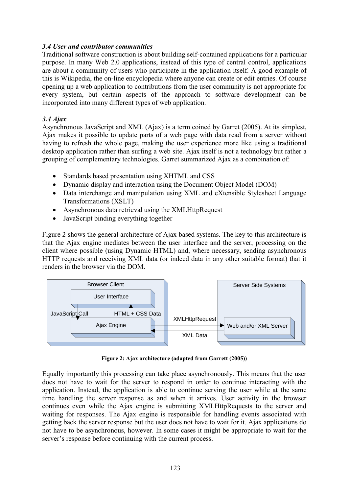#### *3.4 User and contributor communities*

Traditional software construction is about building self-contained applications for a particular purpose. In many Web 2.0 applications, instead of this type of central control, applications are about a community of users who participate in the application itself. A good example of this is Wikipedia, the on-line encyclopedia where anyone can create or edit entries. Of course opening up a web application to contributions from the user community is not appropriate for every system, but certain aspects of the approach to software development can be incorporated into many different types of web application.

#### *3.4 Ajax*

Asynchronous JavaScript and XML (Ajax) is a term coined by Garret (2005). At its simplest, Ajax makes it possible to update parts of a web page with data read from a server without having to refresh the whole page, making the user experience more like using a traditional desktop application rather than surfing a web site. Ajax itself is not a technology but rather a grouping of complementary technologies. Garret summarized Ajax as a combination of:

- Standards based presentation using XHTML and CSS
- Dynamic display and interaction using the Document Object Model (DOM)
- Data interchange and manipulation using XML and eXtensible Stylesheet Language Transformations (XSLT)
- Asynchronous data retrieval using the XMLHttpRequest
- JavaScript binding everything together

Figure 2 shows the general architecture of Ajax based systems. The key to this architecture is that the Ajax engine mediates between the user interface and the server, processing on the client where possible (using Dynamic HTML) and, where necessary, sending asynchronous HTTP requests and receiving XML data (or indeed data in any other suitable format) that it renders in the browser via the DOM.



**Figure 2: Ajax architecture (adapted from Garrett (2005))**

Equally importantly this processing can take place asynchronously. This means that the user does not have to wait for the server to respond in order to continue interacting with the application. Instead, the application is able to continue serving the user while at the same time handling the server response as and when it arrives. User activity in the browser continues even while the Ajax engine is submitting XMLHttpRequests to the server and waiting for responses. The Ajax engine is responsible for handling events associated with getting back the server response but the user does not have to wait for it. Ajax applications do not have to be asynchronous, however. In some cases it might be appropriate to wait for the server's response before continuing with the current process.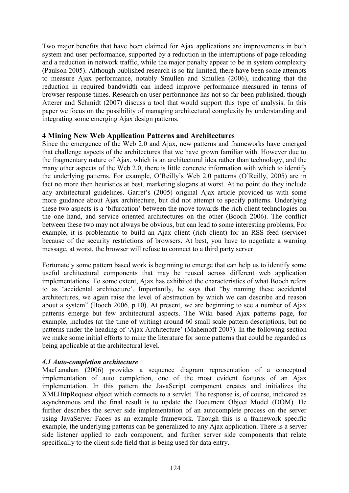Two major benefits that have been claimed for Ajax applications are improvements in both system and user performance, supported by a reduction in the interruptions of page reloading and a reduction in network traffic, while the major penalty appear to be in system complexity (Paulson 2005). Although published research is so far limited, there have been some attempts to measure Ajax performance, notably Smullen and Smullen (2006), indicating that the reduction in required bandwidth can indeed improve performance measured in terms of browser response times. Research on user performance has not so far been published, though Atterer and Schmidt (2007) discuss a tool that would support this type of analysis. In this paper we focus on the possibility of managing architectural complexity by understanding and integrating some emerging Ajax design patterns.

#### **4 Mining New Web Application Patterns and Architectures**

Since the emergence of the Web 2.0 and Ajax, new patterns and frameworks have emerged that challenge aspects of the architectures that we have grown familiar with. However due to the fragmentary nature of Ajax, which is an architectural idea rather than technology, and the many other aspects of the Web 2.0, there is little concrete information with which to identify the underlying patterns. For example, O"Reilly"s Web 2.0 patterns (O"Reilly, 2005) are in fact no more then heuristics at best, marketing slogans at worst. At no point do they include any architectural guidelines. Garret's (2005) original Ajax article provided us with some more guidance about Ajax architecture, but did not attempt to specify patterns. Underlying these two aspects is a "bifurcation" between the move towards the rich client technologies on the one hand, and service oriented architectures on the other (Booch 2006). The conflict between these two may not always be obvious, but can lead to some interesting problems, For example, it is problematic to build an Ajax client (rich client) for an RSS feed (service) because of the security restrictions of browsers. At best, you have to negotiate a warning message, at worst, the browser will refuse to connect to a third party server.

Fortunately some pattern based work is beginning to emerge that can help us to identify some useful architectural components that may be reused across different web application implementations. To some extent, Ajax has exhibited the characteristics of what Booch refers to as 'accidental architecture'. Importantly, he says that "by naming these accidental architectures, we again raise the level of abstraction by which we can describe and reason about a system" (Booch 2006, p.10). At present, we are beginning to see a number of Ajax patterns emerge but few architectural aspects. The Wiki based Ajax patterns page, for example, includes (at the time of writing) around 60 small scale pattern descriptions, but no patterns under the heading of 'Ajax Architecture' (Mahemoff 2007). In the following section we make some initial efforts to mine the literature for some patterns that could be regarded as being applicable at the architectural level.

## *4.1 Auto-completion architecture*

MacLanahan (2006) provides a sequence diagram representation of a conceptual implementation of auto completion, one of the most evident features of an Ajax implementation. In this pattern the JavaScript component creates and initializes the XMLHttpRequest object which connects to a servlet. The response is, of course, indicated as asynchronous and the final result is to update the Document Object Model (DOM). He further describes the server side implementation of an autocomplete process on the server using JavaServer Faces as an example framework. Though this is a framework specific example, the underlying patterns can be generalized to any Ajax application. There is a server side listener applied to each component, and further server side components that relate specifically to the client side field that is being used for data entry.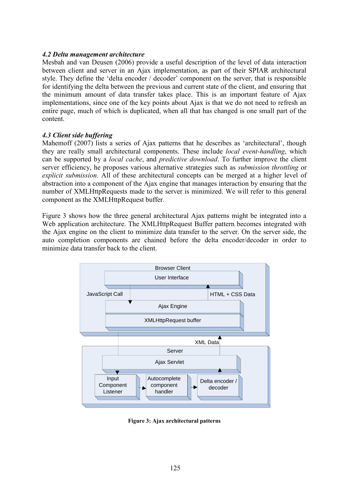#### *4.2 Delta management architecture*

Mesbah and van Deusen (2006) provide a useful description of the level of data interaction between client and server in an Ajax implementation, as part of their SPIAR architectural style. They define the "delta encoder / decoder" component on the server, that is responsible for identifying the delta between the previous and current state of the client, and ensuring that the minimum amount of data transfer takes place. This is an important feature of Ajax implementations, since one of the key points about Ajax is that we do not need to refresh an entire page, much of which is duplicated, when all that has changed is one small part of the content.

#### *4.3 Client side buffering*

Mahemoff (2007) lists a series of Ajax patterns that he describes as 'architectural', though they are really small architectural components. These include *local event-handling*, which can be supported by a *local cache*, and *predictive download*. To further improve the client server efficiency, he proposes various alternative strategies such as *submission throttling* or *explicit submission*. All of these architectural concepts can be merged at a higher level of abstraction into a component of the Ajax engine that manages interaction by ensuring that the number of XMLHttpRequests made to the server is minimized. We will refer to this general component as the XMLHttpRequest buffer.

Figure 3 shows how the three general architectural Ajax patterns might be integrated into a Web application architecture. The XMLHttpRequest Buffer pattern becomes integrated with the Ajax engine on the client to minimize data transfer to the server. On the server side, the auto completion components are chained before the delta encoder/decoder in order to minimize data transfer back to the client.



**Figure 3: Ajax architectural patterns**